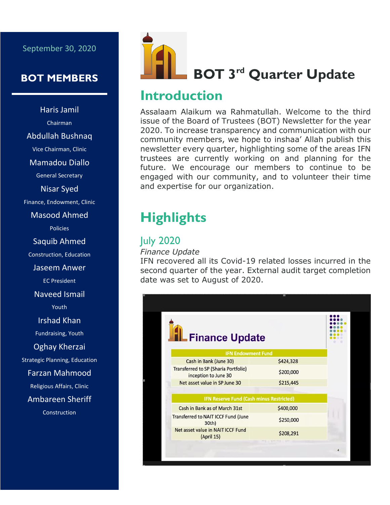### September 30, 2020

## **BOT MEMBERS**

Haris Jamil Chairman Abdullah Bushnaq Vice Chairman, Clinic Mamadou Diallo General Secretary Nisar Syed Finance, Endowment, Clinic Masood Ahmed Policies Saquib Ahmed Construction, Education Jaseem Anwer EC President Naveed Ismail Youth Irshad Khan Fundraising, Youth Oghay Kherzai Strategic Planning, Education Farzan Mahmood Religious Affairs, Clinic Ambareen Sheriff **Construction** 



## **Introduction**

Assalaam Alaikum wa Rahmatullah. Welcome to the third issue of the Board of Trustees (BOT) Newsletter for the year 2020. To increase transparency and communication with our community members, we hope to inshaa' Allah publish this newsletter every quarter, highlighting some of the areas IFN trustees are currently working on and planning for the future. We encourage our members to continue to be engaged with our community, and to volunteer their time and expertise for our organization.

# **Highlights**

## July 2020

#### *Finance Update*

IFN recovered all its Covid-19 related losses incurred in the second quarter of the year. External audit target completion date was set to August of 2020.

| <b>L</b> Finance Update                                      |           |  |
|--------------------------------------------------------------|-----------|--|
| <b>IFN Endowment Fund</b>                                    |           |  |
| Cash in Bank (June 30)                                       | \$424,328 |  |
| Transferred to SP (Sharia Portfolio)<br>inception to June 30 | \$200,000 |  |
| Net asset value in SP June 30                                | \$215,445 |  |
| <b>IFN Reserve Fund (Cash minus Restricted)</b>              |           |  |
| Cash in Bank as of March 31st                                | \$400,000 |  |
| Transferred to NAIT ICCF Fund (June<br>30th)                 | \$250,000 |  |
| Net asset value in NAIT ICCF Fund<br>(April 15)              | \$208,291 |  |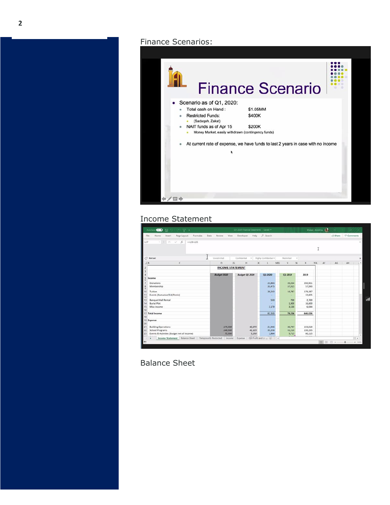Finance Scenarios:



### Income Statement

| File            | AutoSave <b>CD</b><br>$-7.7.$<br>局<br>Formulas:           | Data<br>Review<br>View   | 01-2020 Financial Statements - Saved +<br>Developer Help C Search |                         |                        |                                 | Khalani, Abdull-Ian. (CR | 19 Share | Comments |          |
|-----------------|-----------------------------------------------------------|--------------------------|-------------------------------------------------------------------|-------------------------|------------------------|---------------------------------|--------------------------|----------|----------|----------|
|                 | Home.<br>Page Layout<br>Insert                            |                          |                                                                   |                         |                        |                                 |                          |          |          |          |
| L37             | $-1$ $\times$<br>$\vee$ fr<br>$= +133 - 135$              |                          |                                                                   |                         |                        |                                 |                          |          |          |          |
|                 |                                                           |                          |                                                                   |                         |                        |                                 |                          |          |          |          |
|                 |                                                           |                          | Confidential                                                      |                         |                        |                                 |                          |          |          |          |
| O Not set<br>6B | c                                                         | Unrestricted<br>iG.<br>D | H<br>$\vert K \vert$                                              | - Highly Confidential + | Restricted<br>MQ.<br>v | ٠<br>W<br>x.                    | AF<br>YA                 | AG       | AH       |          |
|                 |                                                           |                          |                                                                   |                         |                        |                                 |                          |          |          |          |
|                 |                                                           | <b>INCOME STATEMENT</b>  |                                                                   |                         |                        |                                 |                          |          |          |          |
|                 |                                                           | <b>Budget 2020</b>       | <b>Budget Q1 2020</b>                                             | 01-2020                 | Q1-2019                | 2019                            |                          |          |          |          |
| Income          |                                                           |                          |                                                                   |                         |                        |                                 |                          |          |          |          |
| m               | Donations                                                 |                          |                                                                   | 23,883                  |                        | 350,901<br>20,204               |                          |          |          |          |
|                 | Membership                                                |                          |                                                                   | 35,475                  |                        | 37,015<br>57,990                |                          |          |          |          |
| Tuition         |                                                           |                          |                                                                   | 20,243                  |                        | 179,187<br>16,787               |                          |          |          |          |
|                 | Events (Ramadan/Eid/Picnic)                               |                          |                                                                   | m.                      |                        | 32,605<br>×                     |                          |          |          |          |
|                 |                                                           |                          |                                                                   |                         |                        |                                 |                          |          |          |          |
|                 | <b>Banquet Hall Rental</b><br><b>Burial Plot</b>          |                          |                                                                   | 550                     |                        | 700<br>16,600<br>1,000          | 2,700                    |          |          |          |
|                 | Misc Income                                               |                          |                                                                   | 2,179                   |                        | 3,530                           | 6,044                    |          |          |          |
| 16              |                                                           |                          |                                                                   |                         |                        |                                 |                          |          |          |          |
| 17 Total Income |                                                           |                          |                                                                   | 82.330                  |                        | 79,236<br>646,026               |                          |          |          |          |
|                 |                                                           |                          |                                                                   |                         |                        |                                 |                          |          |          |          |
| 19 Expense      |                                                           |                          |                                                                   |                         |                        |                                 |                          |          |          |          |
| 20              | <b>Building Operations</b>                                | 176,500                  | 42,875                                                            | 21,946                  |                        | 36,797<br>153,018               |                          |          |          |          |
|                 | <b>School Programs</b>                                    | 149,500                  | 41,125                                                            | 35,256                  |                        | 31,210<br>150,155               |                          |          |          |          |
|                 | Events & Activities (Budget net of income)                | 72,500                   | 5,250                                                             | 1,864                   |                        | 5,715<br>80,115                 |                          |          |          |          |
|                 | Income Statement   Balance Sheet   Temporarily Restricted | Income                   | Expense                                                           | Q8 Profit and Lc  (+)   | $ 1 $ 4                | <b>Base</b><br><b>AR.R.A.A.</b> |                          |          |          | ٠        |
| m               |                                                           |                          |                                                                   |                         |                        |                                 |                          | ■■■■ --  |          | $+ 100%$ |
|                 |                                                           |                          |                                                                   |                         |                        |                                 |                          |          |          |          |

Balance Sheet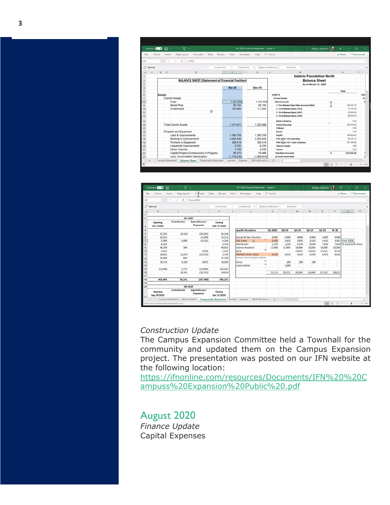| AutoSave <b>Co.D</b> | 暦             | $\nabla \cdot$                                         |                              | Q1-2020 Financial Statements - Saved + |                                           | Khaloel Abdull La<br>$\Xi$ | $x \times$ |
|----------------------|---------------|--------------------------------------------------------|------------------------------|----------------------------------------|-------------------------------------------|----------------------------|------------|
| File                 | Home          | Data<br>Formulas<br>Page Layout<br>Insert              | Review<br>View<br>Developer  | Help                                   | O Search                                  | C Comments<br>int Share    |            |
| £8                   | $-1$ $\times$ | $\mathcal{S}$<br>$=+322$                               |                              |                                        |                                           |                            |            |
| / Not set            |               |                                                        | Confidential<br>Unrestricted | · Highly Confidential ·                | <b>Restricted</b><br>$\sim$               |                            |            |
| А                    | 8 C           | D                                                      | F                            | G<br>$\vee$                            | w                                         | $\mathbf{x}$               | Y.         |
|                      |               |                                                        |                              |                                        | <b>Islamic Foundation North</b>           |                            |            |
|                      |               | <b>BALANCE SHEET (Statement of Financial Position)</b> |                              |                                        | <b>Balance Sheet</b>                      |                            |            |
|                      |               |                                                        |                              |                                        | As of March 31, 2020                      |                            |            |
|                      |               |                                                        | <b>Mar-20</b>                | Dec-19                                 |                                           |                            |            |
|                      |               |                                                        |                              |                                        |                                           | Total                      |            |
| 6                    | Assets        |                                                        |                              |                                        | <b>ASSETS</b>                             |                            | A\$\$      |
|                      |               | <b>Current Assets</b>                                  |                              |                                        | <b>Current Assets</b>                     |                            | Cu         |
| 3                    |               | Cash                                                   | 1.047.654                    | 1,141,918                              | <b>Bank Accounts</b>                      |                            | R          |
| $\overline{9}$       |               | <b>Burial Plots</b>                                    | 82.154                       | 82.154                                 | 1- First Midwest Bank Main Account (0404) | 193,552.14                 |            |
| 10                   |               | <b>Investments</b><br>$\circ$                          | 187,869                      | 111,494                                | 2 - First Midwest Bank (1819)             | 10,163,66                  |            |
| 11                   |               |                                                        |                              |                                        | 3 - First Midwest Bank (1827)             | 35,000.00                  |            |
| 12                   |               |                                                        |                              |                                        | 4 - First Midwest Bank (1835)             | 99.050.53                  |            |
| 13                   |               |                                                        |                              |                                        | <b>Bank of America</b>                    | 0.00.                      |            |
| 14                   |               | <b>Total Current Assets</b>                            | 1,317,677                    | 1,335,566                              | <b>Chase Checking</b>                     | 256,154.85                 |            |
| 15                   |               |                                                        |                              |                                        | Citibank                                  | 0.00                       |            |
| 16                   |               | Property and Equipment                                 |                              |                                        | Mohid                                     | 0.00                       |            |
| 17                   |               | Land & Improvements                                    | 1,393,709                    | 1.393.709                              | PayPal                                    | 146,004.97                 |            |
| 18                   |               | <b>Building &amp; Improvements</b>                     | 3,462,858                    | 3,462,858                              | PNC Bank 1323-Operating                   | 86.328.16                  |            |
| 19                   |               | Furniture & Equipment                                  | 328,418                      | 328,418                                | PNC ELok 1331- Cash Collection            | 221,399.98                 |            |
| 20                   |               | Leasehold Improvements                                 | 6.250                        | 6.250                                  | <b>Saturna Capital</b>                    | 0.00                       |            |
| 21                   |               | Motor Vehicles                                         | 3,756                        | 4.036                                  | Square                                    | 0.00                       |            |
| 22                   |               | Capital Project (Construction) In Progress             | 90,372                       | 70.468                                 | <b>Total Bank Announts</b>                | 1,047,654.29<br>s          |            |
| 23                   |               | Less: Accumulated Depreciation                         | (1,706,242)                  | (1,665,644)                            | <b>Accounts Receivable</b>                |                            |            |
| ٠                    |               | Income Statement Balance Sheet Temporarily Restricted  | Income Expense               | Q8 Profit and Lt  (+)                  | $\left  \cdot \right $                    |                            | ٠          |

|                        | Page Layout<br>Insert  | Formulas                          | Data<br>Review         | View | Developer<br>Help                                                         | O Search              |                      |         |              |           |         | Share                      | Comments |
|------------------------|------------------------|-----------------------------------|------------------------|------|---------------------------------------------------------------------------|-----------------------|----------------------|---------|--------------|-----------|---------|----------------------------|----------|
| $\sim$                 | $\geq$<br>fx<br>$\sim$ | From 2014                         |                        |      |                                                                           |                       |                      |         |              |           |         |                            |          |
| Not set                |                        |                                   | Unrestricted           |      | Confidential<br>$\sim$                                                    | Highly Confidential . | Restricted           | $\sim$  |              |           |         |                            |          |
| D                      |                        | F.                                | H                      |      |                                                                           | K.                    |                      | M       | $\mathsf{N}$ | $\circ$   | p.      | $\circ$                    | R        |
|                        | Q1-2020                |                                   |                        |      |                                                                           |                       |                      |         |              |           |         |                            |          |
| Opening<br>Jan 1'2020  | Contribution           | <b>Expenditures /</b><br>Payments | Closing<br>Mar 31'2020 |      |                                                                           |                       |                      |         |              |           |         |                            |          |
|                        |                        |                                   |                        |      | <b>Specific Donations</b>                                                 | Q1-2020               | $Q4-19$              | $Q3-19$ | $Q2 - 19$    | $Q1-19$   | $YE-18$ |                            |          |
| 53,322                 | 23,110                 | (30, 283)                         | 46,149                 |      |                                                                           |                       |                      |         |              |           |         |                            |          |
| 29,211                 | $\sim$                 | (4, 100)                          | 25,111                 |      | Dawah & New Muslims                                                       | 4,000                 | 4,000                | 4,000   | 4,000        | 4,000     | 4,000   |                            |          |
| 5,390                  | 5,000                  | (6, 141)                          | 4,249                  |      | d3<br>Kids Fund                                                           | 3,432                 | 3,432                | 3,432   | 3,432        | 3,432     |         | 3,432 From 2014            |          |
| 6,133                  | ×                      | $\sim$                            | 6,133                  |      | Montessori                                                                | 1,250                 | 1,250                | 6,250   | 8,650        | 7,650     |         | 7,650 To issue to Al-Ihsan |          |
| 48,239                 | 396                    | $\sim$                            | 48,635                 |      | Science Academy                                                           | 12,000                | 15,000               | 10,000  | 10,000       | 10,000    | 10,000  |                            |          |
| 2,612                  | ×                      | (470)                             | 2,142                  |      | Syria                                                                     | $\sim$                | $\sim$               | 15,033  | 15,033       | 37,621    | 9,710   |                            |          |
| 28,001                 | 11,079                 | (35, 342)                         | 3,738                  |      | Old Misc (from 2015)                                                      | 4,429                 | 4,429                | 4,429   | 4,429        | 4,429     | 4,429   |                            |          |
| 36,968                 | 800                    | $\sim$                            | 37,768                 |      | Insurance Prem Escaclation \$3,528                                        |                       |                      |         |              |           |         |                            |          |
| 76,772                 | 3,100                  | (967)                             | 78,905                 |      | China                                                                     |                       | 100                  | 100     | 100          | $\sim$    | $\sim$  |                            |          |
|                        | ÷                      |                                   |                        |      | Islamic Relief                                                            |                       | 1,000                | ÷       | $\sim$       | $\bar{a}$ | $\sim$  |                            |          |
| 122,846                | 2,725                  | (19,904)                          | 105,667                |      |                                                                           |                       |                      |         |              |           |         |                            |          |
| $\sim$                 | 50,351                 | (10, 742)                         | 39,610                 |      |                                                                           | 25,111                | 29,211               | 43,244  | 45,644       | 67,132    | 39,221  |                            |          |
| 409,494                | 96.561                 | (107.948)                         | 398,107                |      |                                                                           |                       |                      |         |              |           |         |                            |          |
|                        | Q4-2019                |                                   |                        |      |                                                                           |                       |                      |         |              |           |         |                            |          |
| Opening<br>Sep 30'2019 | Contribution           | <b>Expenditures /</b><br>Payments | Closing<br>Dec 31'2019 |      |                                                                           |                       |                      |         |              |           |         |                            |          |
| ٠                      | Income Statement       |                                   |                        |      | Balance Sheet Temporarily Restricted Income Expense QB Profit and Lc  (+) |                       | $\ddot{\phantom{1}}$ |         |              |           |         |                            |          |

## *Construction Update*

The Campus Expansion Committee held a Townhall for the community and updated them on the Campus Expansion project. The presentation was posted on our IFN website at the following location:

[https://ifnonline.com/resources/Documents/IFN%20%20C](https://ifnonline.com/resources/Documents/IFN%20%20Campuss%20Expansion%20Public%20.pdf) [ampuss%20Expansion%20Public%20.pdf](https://ifnonline.com/resources/Documents/IFN%20%20Campuss%20Expansion%20Public%20.pdf)

August 2020 *Finance Update* Capital Expenses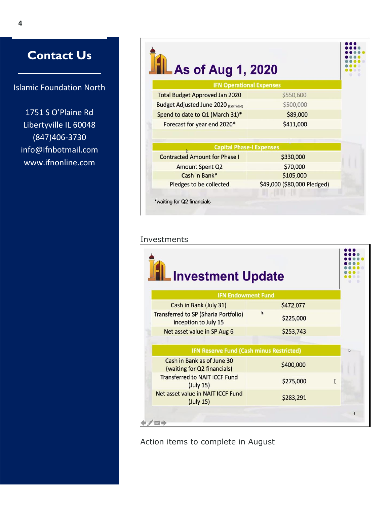## **Contact Us**

Islamic Foundation North

1751 S O'Plaine Rd Libertyville IL 60048 (847)406-3730 info@ifnbotmail.com www.ifnonline.com

| As of Aug 1, 2020                            |                             |  |
|----------------------------------------------|-----------------------------|--|
| <b>IFN Operational Expenses</b>              |                             |  |
| <b>Total Budget Approved Jan 2020</b>        | \$550,600                   |  |
| <b>Budget Adjusted June 2020 (Estimated)</b> | \$500,000                   |  |
| Spend to date to Q1 (March 31)*              | \$89,000                    |  |
| Forecast for year end 2020*                  | \$411,000                   |  |
|                                              |                             |  |
| <b>Capital Phase-I Expenses</b>              |                             |  |
| <b>Contracted Amount for Phase I</b>         | \$330,000                   |  |
| <b>Amount Spent Q2</b>                       | \$70,000                    |  |
| Cash in Bank*                                | \$105,000                   |  |
| Pledges to be collected                      | \$49,000 (\$80,000 Pledged) |  |

#### Investments

| <b>Investment Update</b>                                            |           |   |   |
|---------------------------------------------------------------------|-----------|---|---|
| <b>IFN Endowment Fund</b>                                           |           |   |   |
| Cash in Bank (July 31)                                              | \$472,077 |   |   |
| <b>Transferred to SP (Sharia Portfolio)</b><br>inception to July 15 | \$225,000 |   |   |
| Net asset value in SP Aug 6                                         | \$253,743 |   |   |
|                                                                     |           |   |   |
| <b>IFN Reserve Fund (Cash minus Restricted)</b>                     |           |   | ₿ |
| Cash in Bank as of June 30<br>(waiting for Q2 financials)           | \$400,000 |   |   |
| <b>Transferred to NAIT ICCF Fund</b><br>(July 15)                   | \$275,000 | T |   |
| Net asset value in NAIT ICCF Fund<br>(July 15)                      | \$283,291 |   |   |
|                                                                     |           |   |   |

Action items to complete in August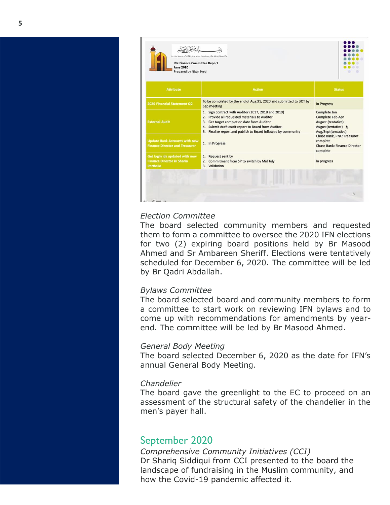

#### *Election Committee*

The board selected community members and requested them to form a committee to oversee the 2020 IFN elections for two (2) expiring board positions held by Br Masood Ahmed and Sr Ambareen Sheriff. Elections were tentatively scheduled for December 6, 2020. The committee will be led by Br Qadri Abdallah.

#### *Bylaws Committee*

The board selected board and community members to form a committee to start work on reviewing IFN bylaws and to come up with recommendations for amendments by yearend. The committee will be led by Br Masood Ahmed.

#### *General Body Meeting*

The board selected December 6, 2020 as the date for IFN's annual General Body Meeting.

#### *Chandelier*

The board gave the greenlight to the EC to proceed on an assessment of the structural safety of the chandelier in the men's payer hall.

## September 2020

*Comprehensive Community Initiatives (CCI)* Dr Shariq Siddiqui from CCI presented to the board the landscape of fundraising in the Muslim community, and how the Covid-19 pandemic affected it.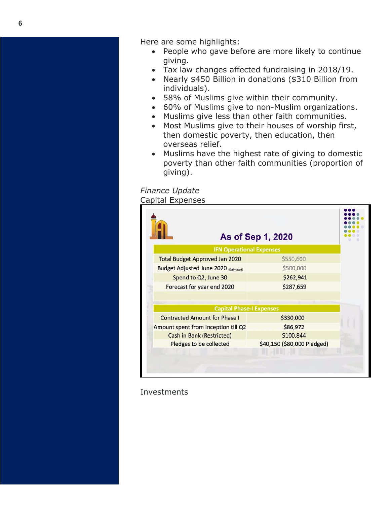Here are some highlights:

- People who gave before are more likely to continue giving.
- Tax law changes affected fundraising in 2018/19.
- Nearly \$450 Billion in donations (\$310 Billion from individuals).
- 58% of Muslims give within their community.
- 60% of Muslims give to non-Muslim organizations.
- Muslims give less than other faith communities.
- Most Muslims give to their houses of worship first, then domestic poverty, then education, then overseas relief.
- Muslims have the highest rate of giving to domestic poverty than other faith communities (proportion of giving).

*Finance Update* Capital Expenses

|                                              | As of Sep 1, 2020 |  |
|----------------------------------------------|-------------------|--|
| <b>IFN Operational Expenses</b>              |                   |  |
| <b>Total Budget Approved Jan 2020</b>        | \$550,600         |  |
| <b>Budget Adjusted June 2020 (Estimated)</b> | \$500,000         |  |
| Spend to Q2, June 30                         | \$262,941         |  |
| Forecast for year end 2020                   | \$287,659         |  |
| <b>Capital Phase-I Expenses</b>              |                   |  |
|                                              | \$330,000         |  |
| <b>Contracted Amount for Phase I</b>         |                   |  |
| Amount spent from Inception till Q2          | \$86,972          |  |
| <b>Cash in Bank (Restricted)</b>             | \$100,844         |  |

**Investments**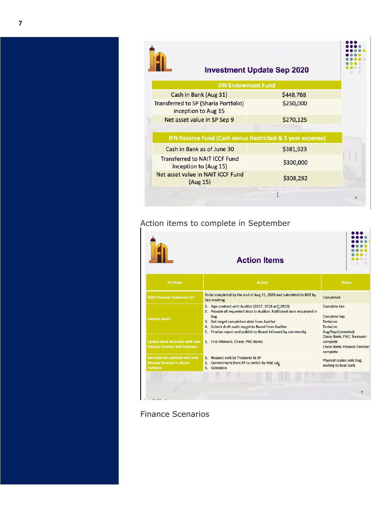| <b>Investment Update Sep 2020</b>                                  |           |  |
|--------------------------------------------------------------------|-----------|--|
| <b>IFN Endowment Fund</b>                                          |           |  |
| Cash in Bank (Aug 31)                                              | \$448,768 |  |
| <b>Transferred to SP (Sharia Portfolio)</b><br>inception to Aug 15 | \$250,000 |  |
| Net asset value in SP Sep 9                                        | \$270,125 |  |
| IFN Reserve Fund (Cash minus Restricted & 1 year expense)          |           |  |
| Cash in Bank as of June 30                                         | \$381,923 |  |
| <b>Transferred to NAIT ICCF Fund</b><br>Inception to (Aug 15)      | \$300,000 |  |
| Net asset value in NAIT ICCF Fund<br>(Aug 15)                      | \$308,292 |  |
|                                                                    |           |  |

## Action items to complete in September

|                                                                                         | <b>Action Items</b>                                                                                                                                                                                                                                                                                             |                                                                                                                                  |
|-----------------------------------------------------------------------------------------|-----------------------------------------------------------------------------------------------------------------------------------------------------------------------------------------------------------------------------------------------------------------------------------------------------------------|----------------------------------------------------------------------------------------------------------------------------------|
| <b>Attribute</b>                                                                        | <b>Action</b>                                                                                                                                                                                                                                                                                                   | <b>Status</b>                                                                                                                    |
| 2020 Financial Statement Q2                                                             | To be completed by the end of Aug 31, 2020 and submitted to BOT by<br>Sep meeting                                                                                                                                                                                                                               | Completed                                                                                                                        |
| <b>External Audit</b>                                                                   | 1. Sign contract with Auditor (2017, 2018 an. 2019)<br>2. Provide all requested docs to Auditor. Additional docs requested in<br>Aug<br>3. Get target completion date from Auditor<br>Submit draft audit report to Board from Auditor<br>4.<br>Finalize report and publish to Board followed by community<br>5. | Complete Jan<br><b>Complete Sep</b><br><b>Tentative</b><br><b>Tentative</b><br>Aug/Sept(tentative)<br>Chase Bank, PNC: Treasurer |
| <b>Update Bank Accounts with new</b><br><b>Finance Director and Treasurer</b>           | 1. First Midwest, Chase, PNC Banks                                                                                                                                                                                                                                                                              | complete<br><b>Chase Bank: Finance Director</b><br>complete                                                                      |
| Get login ids updated with new<br><b>Finance Director in Sharia</b><br><b>Portfolio</b> | 1. Request sent by Treasurer to SP<br>2. Commitment from SP to switch by Mid July<br>3. Validation                                                                                                                                                                                                              | Physical copies sent Aug,<br>waiting to hear back                                                                                |
|                                                                                         |                                                                                                                                                                                                                                                                                                                 |                                                                                                                                  |
|                                                                                         |                                                                                                                                                                                                                                                                                                                 | $\overline{7}$                                                                                                                   |

Finance Scenarios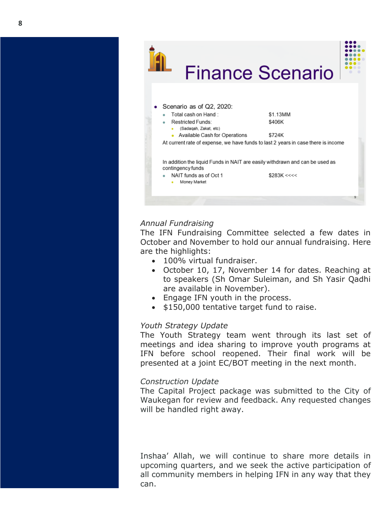

#### *Annual Fundraising*

The IFN Fundraising Committee selected a few dates in October and November to hold our annual fundraising. Here are the highlights:

- 100% virtual fundraiser.
- October 10, 17, November 14 for dates. Reaching at to speakers (Sh Omar Suleiman, and Sh Yasir Qadhi are available in November).
- Engage IFN youth in the process.
- \$150,000 tentative target fund to raise.

#### *Youth Strategy Update*

The Youth Strategy team went through its last set of meetings and idea sharing to improve youth programs at IFN before school reopened. Their final work will be presented at a joint EC/BOT meeting in the next month.

#### *Construction Update*

The Capital Project package was submitted to the City of Waukegan for review and feedback. Any requested changes will be handled right away.

Inshaa' Allah, we will continue to share more details in upcoming quarters, and we seek the active participation of all community members in helping IFN in any way that they can.